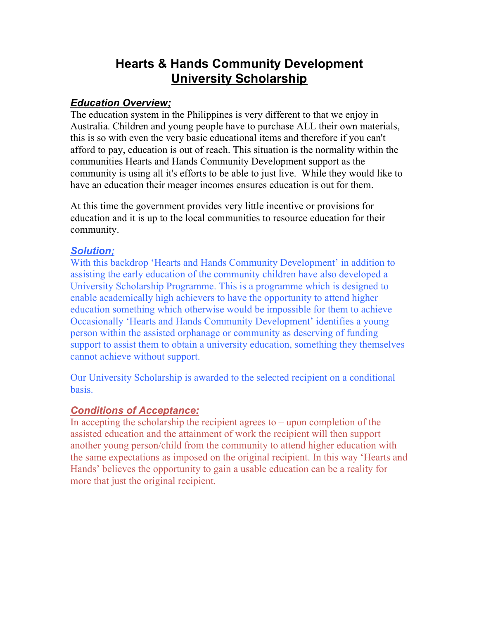# **Hearts & Hands Community Development University Scholarship**

#### *Education Overview;*

The education system in the Philippines is very different to that we enjoy in Australia. Children and young people have to purchase ALL their own materials, this is so with even the very basic educational items and therefore if you can't afford to pay, education is out of reach. This situation is the normality within the communities Hearts and Hands Community Development support as the community is using all it's efforts to be able to just live. While they would like to have an education their meager incomes ensures education is out for them.

At this time the government provides very little incentive or provisions for education and it is up to the local communities to resource education for their community.

#### *Solution;*

With this backdrop 'Hearts and Hands Community Development' in addition to assisting the early education of the community children have also developed a University Scholarship Programme. This is a programme which is designed to enable academically high achievers to have the opportunity to attend higher education something which otherwise would be impossible for them to achieve Occasionally 'Hearts and Hands Community Development' identifies a young person within the assisted orphanage or community as deserving of funding support to assist them to obtain a university education, something they themselves cannot achieve without support.

Our University Scholarship is awarded to the selected recipient on a conditional basis.

#### *Conditions of Acceptance:*

In accepting the scholarship the recipient agrees to  $-$  upon completion of the assisted education and the attainment of work the recipient will then support another young person/child from the community to attend higher education with the same expectations as imposed on the original recipient. In this way 'Hearts and Hands' believes the opportunity to gain a usable education can be a reality for more that just the original recipient.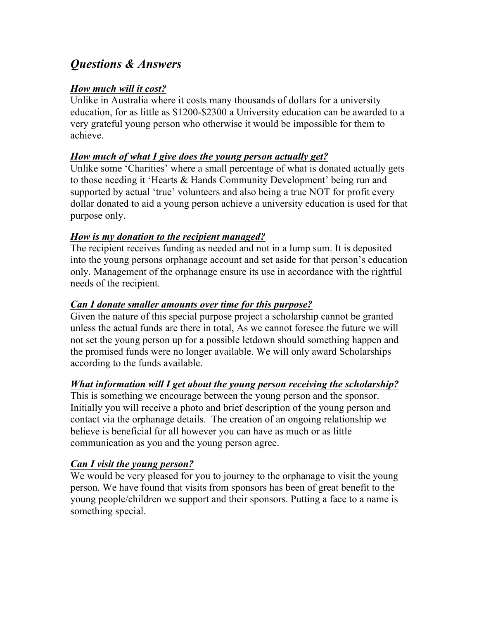## *Questions & Answers*

#### *How much will it cost?*

Unlike in Australia where it costs many thousands of dollars for a university education, for as little as \$1200-\$2300 a University education can be awarded to a very grateful young person who otherwise it would be impossible for them to achieve.

#### *How much of what I give does the young person actually get?*

Unlike some 'Charities' where a small percentage of what is donated actually gets to those needing it 'Hearts & Hands Community Development' being run and supported by actual 'true' volunteers and also being a true NOT for profit every dollar donated to aid a young person achieve a university education is used for that purpose only.

#### *How is my donation to the recipient managed?*

The recipient receives funding as needed and not in a lump sum. It is deposited into the young persons orphanage account and set aside for that person's education only. Management of the orphanage ensure its use in accordance with the rightful needs of the recipient.

#### *Can I donate smaller amounts over time for this purpose?*

Given the nature of this special purpose project a scholarship cannot be granted unless the actual funds are there in total, As we cannot foresee the future we will not set the young person up for a possible letdown should something happen and the promised funds were no longer available. We will only award Scholarships according to the funds available.

#### *What information will I get about the young person receiving the scholarship?*

This is something we encourage between the young person and the sponsor. Initially you will receive a photo and brief description of the young person and contact via the orphanage details. The creation of an ongoing relationship we believe is beneficial for all however you can have as much or as little communication as you and the young person agree.

#### *Can I visit the young person?*

We would be very pleased for you to journey to the orphanage to visit the young person. We have found that visits from sponsors has been of great benefit to the young people/children we support and their sponsors. Putting a face to a name is something special.